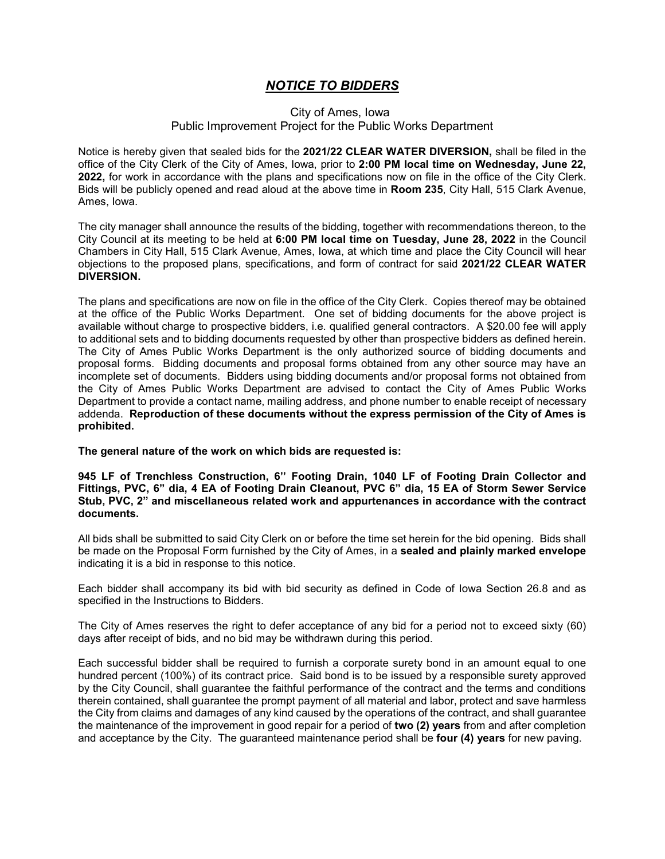## *NOTICE TO BIDDERS*

## City of Ames, Iowa Public Improvement Project for the Public Works Department

Notice is hereby given that sealed bids for the **2021/22 CLEAR WATER DIVERSION,** shall be filed in the office of the City Clerk of the City of Ames, Iowa, prior to **2:00 PM local time on Wednesday, June 22, 2022,** for work in accordance with the plans and specifications now on file in the office of the City Clerk. Bids will be publicly opened and read aloud at the above time in **Room 235**, City Hall, 515 Clark Avenue, Ames, Iowa.

The city manager shall announce the results of the bidding, together with recommendations thereon, to the City Council at its meeting to be held at **6:00 PM local time on Tuesday, June 28, 2022** in the Council Chambers in City Hall, 515 Clark Avenue, Ames, Iowa, at which time and place the City Council will hear objections to the proposed plans, specifications, and form of contract for said **2021/22 CLEAR WATER DIVERSION.**

The plans and specifications are now on file in the office of the City Clerk. Copies thereof may be obtained at the office of the Public Works Department. One set of bidding documents for the above project is available without charge to prospective bidders, i.e. qualified general contractors. A \$20.00 fee will apply to additional sets and to bidding documents requested by other than prospective bidders as defined herein. The City of Ames Public Works Department is the only authorized source of bidding documents and proposal forms. Bidding documents and proposal forms obtained from any other source may have an incomplete set of documents. Bidders using bidding documents and/or proposal forms not obtained from the City of Ames Public Works Department are advised to contact the City of Ames Public Works Department to provide a contact name, mailing address, and phone number to enable receipt of necessary addenda. **Reproduction of these documents without the express permission of the City of Ames is prohibited.**

**The general nature of the work on which bids are requested is:** 

**945 LF of Trenchless Construction, 6'' Footing Drain, 1040 LF of Footing Drain Collector and Fittings, PVC, 6" dia, 4 EA of Footing Drain Cleanout, PVC 6" dia, 15 EA of Storm Sewer Service Stub, PVC, 2" and miscellaneous related work and appurtenances in accordance with the contract documents.**

All bids shall be submitted to said City Clerk on or before the time set herein for the bid opening. Bids shall be made on the Proposal Form furnished by the City of Ames, in a **sealed and plainly marked envelope** indicating it is a bid in response to this notice.

Each bidder shall accompany its bid with bid security as defined in Code of Iowa Section 26.8 and as specified in the Instructions to Bidders.

The City of Ames reserves the right to defer acceptance of any bid for a period not to exceed sixty (60) days after receipt of bids, and no bid may be withdrawn during this period.

Each successful bidder shall be required to furnish a corporate surety bond in an amount equal to one hundred percent (100%) of its contract price. Said bond is to be issued by a responsible surety approved by the City Council, shall guarantee the faithful performance of the contract and the terms and conditions therein contained, shall guarantee the prompt payment of all material and labor, protect and save harmless the City from claims and damages of any kind caused by the operations of the contract, and shall guarantee the maintenance of the improvement in good repair for a period of **two (2) years** from and after completion and acceptance by the City. The guaranteed maintenance period shall be **four (4) years** for new paving.